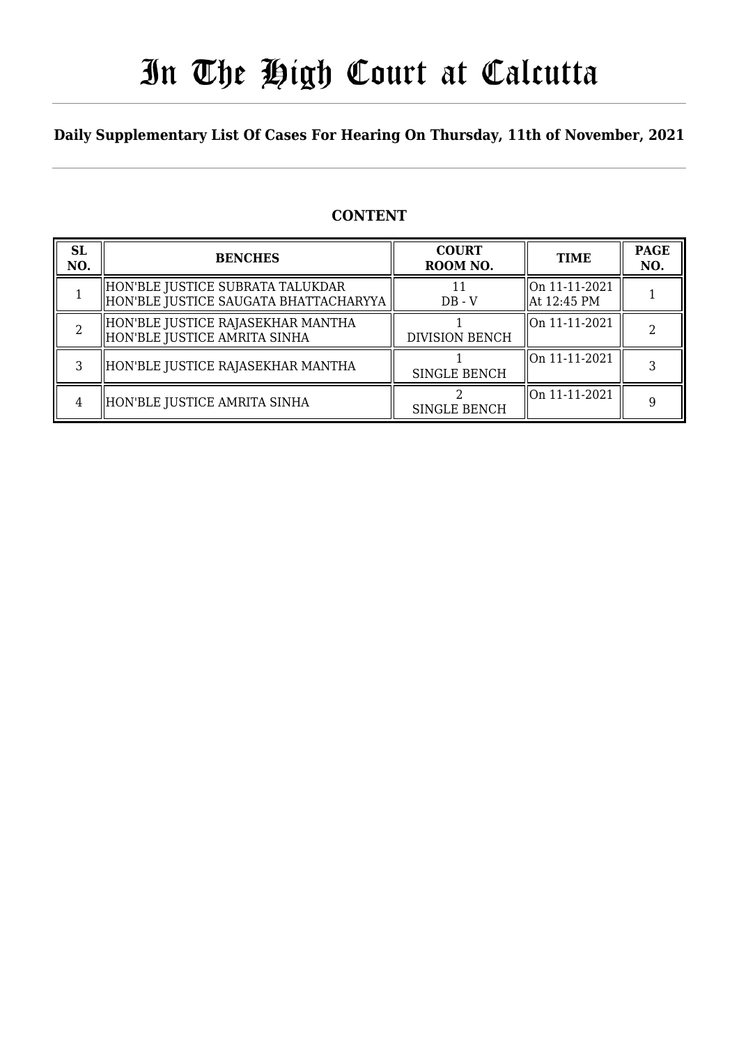# In The High Court at Calcutta

#### **Daily Supplementary List Of Cases For Hearing On Thursday, 11th of November, 2021**

#### **CONTENT**

| <b>SL</b><br>NO. | <b>BENCHES</b>                                                            | <b>COURT</b><br>ROOM NO. | <b>TIME</b>                  | <b>PAGE</b><br>NO. |
|------------------|---------------------------------------------------------------------------|--------------------------|------------------------------|--------------------|
|                  | HON'BLE JUSTICE SUBRATA TALUKDAR<br>HON'BLE JUSTICE SAUGATA BHATTACHARYYA | $DB - V$                 | On 11-11-2021<br>At 12:45 PM |                    |
|                  | HON'BLE JUSTICE RAJASEKHAR MANTHA<br>HON'BLE JUSTICE AMRITA SINHA         | <b>DIVISION BENCH</b>    | On 11-11-2021                |                    |
|                  | HON'BLE JUSTICE RAJASEKHAR MANTHA                                         | <b>SINGLE BENCH</b>      | On 11-11-2021                |                    |
| 4                | HON'BLE JUSTICE AMRITA SINHA                                              | <b>SINGLE BENCH</b>      | lOn 11-11-2021               |                    |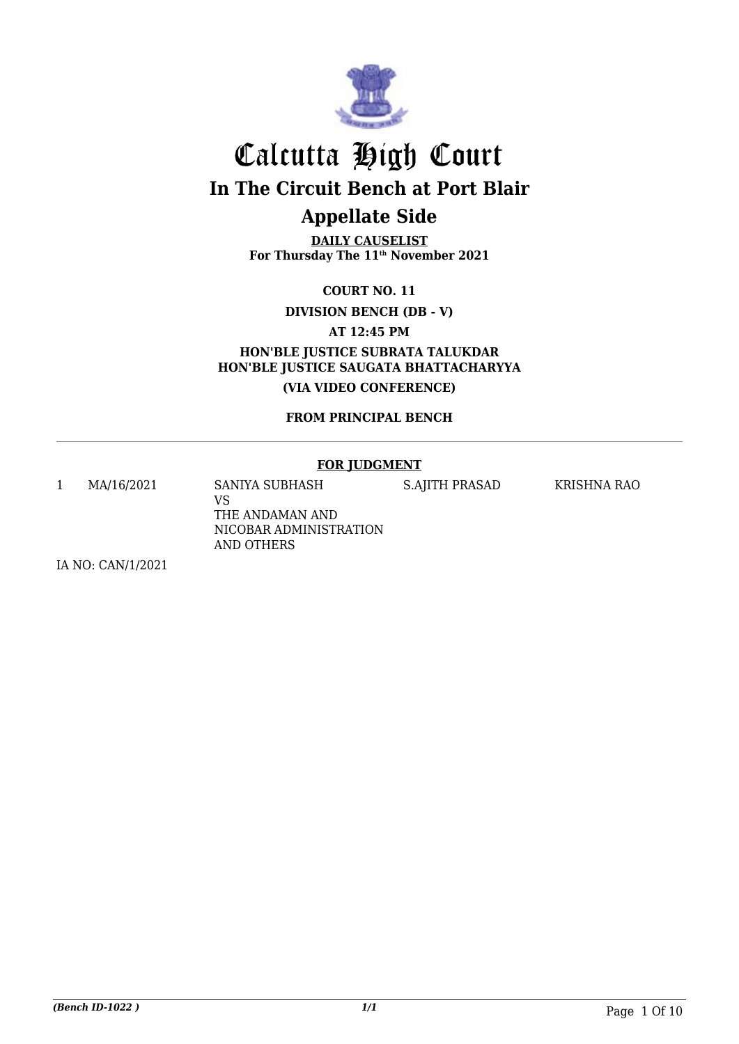

# Calcutta High Court **In The Circuit Bench at Port Blair**

### **Appellate Side**

**DAILY CAUSELIST For Thursday The 11th November 2021**

**COURT NO. 11**

**DIVISION BENCH (DB - V)**

**AT 12:45 PM**

**HON'BLE JUSTICE SUBRATA TALUKDAR HON'BLE JUSTICE SAUGATA BHATTACHARYYA (VIA VIDEO CONFERENCE)**

**FROM PRINCIPAL BENCH**

#### **FOR JUDGMENT**

1 MA/16/2021 SANIYA SUBHASH VS THE ANDAMAN AND NICOBAR ADMINISTRATION S.AJITH PRASAD KRISHNA RAO

AND OTHERS

IA NO: CAN/1/2021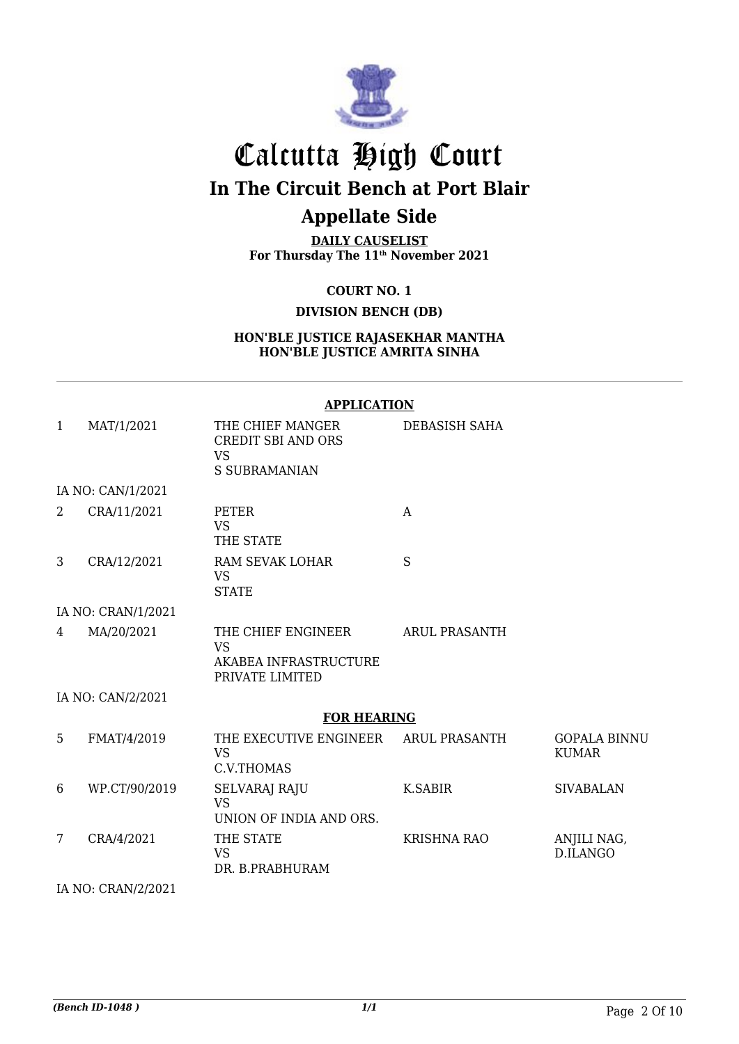

## Calcutta High Court **In The Circuit Bench at Port Blair Appellate Side**

**DAILY CAUSELIST For Thursday The 11th November 2021**

**COURT NO. 1**

**DIVISION BENCH (DB)**

**HON'BLE JUSTICE RAJASEKHAR MANTHA HON'BLE JUSTICE AMRITA SINHA**

|                |                    | <b>APPLICATION</b>                                                                 |                      |                                     |
|----------------|--------------------|------------------------------------------------------------------------------------|----------------------|-------------------------------------|
| $\mathbf{1}$   | MAT/1/2021         | THE CHIEF MANGER<br><b>CREDIT SBI AND ORS</b><br><b>VS</b><br><b>S SUBRAMANIAN</b> | DEBASISH SAHA        |                                     |
|                | IA NO: CAN/1/2021  |                                                                                    |                      |                                     |
| $\overline{2}$ | CRA/11/2021        | PETER<br><b>VS</b><br>THE STATE                                                    | A                    |                                     |
| 3              | CRA/12/2021        | RAM SEVAK LOHAR<br><b>VS</b><br><b>STATE</b>                                       | S                    |                                     |
|                | IA NO: CRAN/1/2021 |                                                                                    |                      |                                     |
| 4              | MA/20/2021         | THE CHIEF ENGINEER<br><b>VS</b><br>AKABEA INFRASTRUCTURE<br>PRIVATE LIMITED        | <b>ARUL PRASANTH</b> |                                     |
|                | IA NO: CAN/2/2021  |                                                                                    |                      |                                     |
|                |                    | <b>FOR HEARING</b>                                                                 |                      |                                     |
| 5              | FMAT/4/2019        | THE EXECUTIVE ENGINEER<br><b>VS</b><br>C.V.THOMAS                                  | <b>ARUL PRASANTH</b> | <b>GOPALA BINNU</b><br><b>KUMAR</b> |
| 6              | WP.CT/90/2019      | <b>SELVARAJ RAJU</b><br><b>VS</b><br>UNION OF INDIA AND ORS.                       | K.SABIR              | <b>SIVABALAN</b>                    |
| 7              | CRA/4/2021         | THE STATE<br><b>VS</b><br>DR. B.PRABHURAM                                          | <b>KRISHNA RAO</b>   | ANJILI NAG,<br>D.ILANGO             |
|                | 71.370.071370.0204 |                                                                                    |                      |                                     |

IA NO: CRAN/2/2021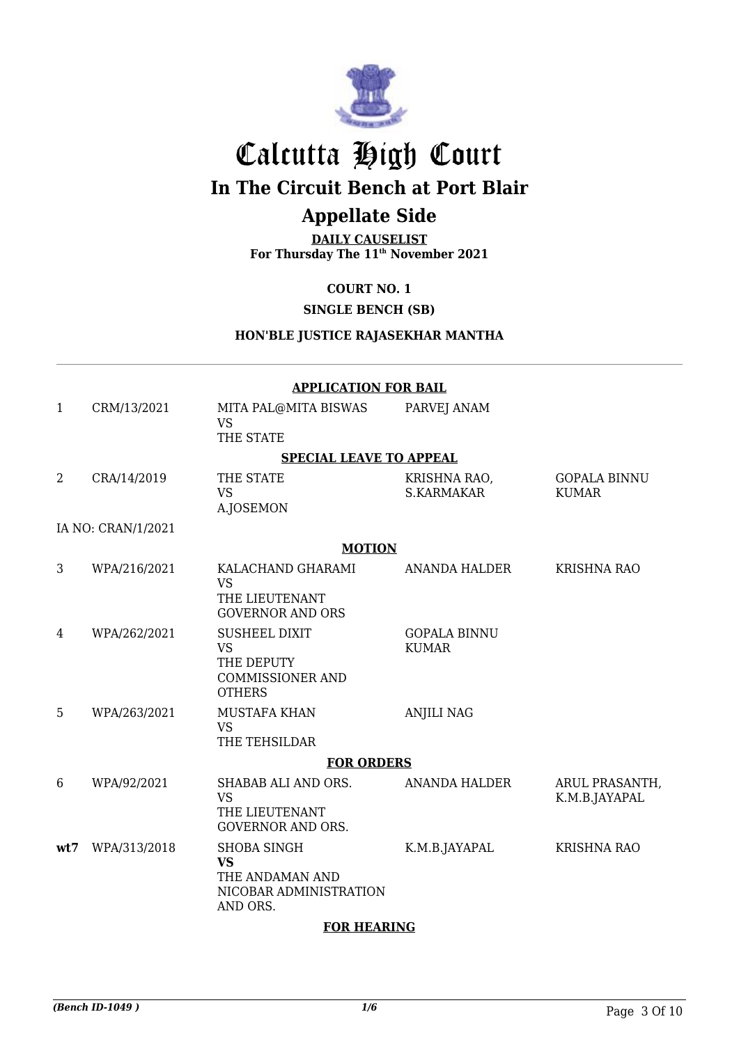

## Calcutta High Court **In The Circuit Bench at Port Blair**

#### **Appellate Side**

**DAILY CAUSELIST For Thursday The 11th November 2021**

**COURT NO. 1**

**SINGLE BENCH (SB)**

#### **HON'BLE JUSTICE RAJASEKHAR MANTHA**

|                | <b>APPLICATION FOR BAIL</b> |                                                                                             |                                     |                                     |  |  |
|----------------|-----------------------------|---------------------------------------------------------------------------------------------|-------------------------------------|-------------------------------------|--|--|
| $\mathbf{1}$   | CRM/13/2021                 | MITA PAL@MITA BISWAS<br><b>VS</b><br>THE STATE                                              | PARVEJ ANAM                         |                                     |  |  |
|                |                             | <b>SPECIAL LEAVE TO APPEAL</b>                                                              |                                     |                                     |  |  |
| $\overline{2}$ | CRA/14/2019                 | THE STATE<br><b>VS</b><br><b>A.JOSEMON</b>                                                  | KRISHNA RAO,<br>S.KARMAKAR          | <b>GOPALA BINNU</b><br><b>KUMAR</b> |  |  |
|                | IA NO: CRAN/1/2021          |                                                                                             |                                     |                                     |  |  |
|                |                             | <b>MOTION</b>                                                                               |                                     |                                     |  |  |
| 3              | WPA/216/2021                | KALACHAND GHARAMI<br><b>VS</b><br>THE LIEUTENANT<br><b>GOVERNOR AND ORS</b>                 | ANANDA HALDER                       | <b>KRISHNA RAO</b>                  |  |  |
| 4              | WPA/262/2021                | <b>SUSHEEL DIXIT</b><br><b>VS</b><br>THE DEPUTY<br><b>COMMISSIONER AND</b><br><b>OTHERS</b> | <b>GOPALA BINNU</b><br><b>KUMAR</b> |                                     |  |  |
| 5              | WPA/263/2021                | <b>MUSTAFA KHAN</b><br><b>VS</b><br>THE TEHSILDAR                                           | <b>ANJILI NAG</b>                   |                                     |  |  |
|                |                             | <b>FOR ORDERS</b>                                                                           |                                     |                                     |  |  |
| 6              | WPA/92/2021                 | SHABAB ALI AND ORS.<br><b>VS</b><br>THE LIEUTENANT<br><b>GOVERNOR AND ORS.</b>              | <b>ANANDA HALDER</b>                | ARUL PRASANTH,<br>K.M.B.JAYAPAL     |  |  |
| wt7            | WPA/313/2018                | <b>SHOBA SINGH</b><br><b>VS</b><br>THE ANDAMAN AND<br>NICOBAR ADMINISTRATION<br>AND ORS.    | K.M.B.JAYAPAL                       | <b>KRISHNA RAO</b>                  |  |  |
|                | <b>FOR HEARING</b>          |                                                                                             |                                     |                                     |  |  |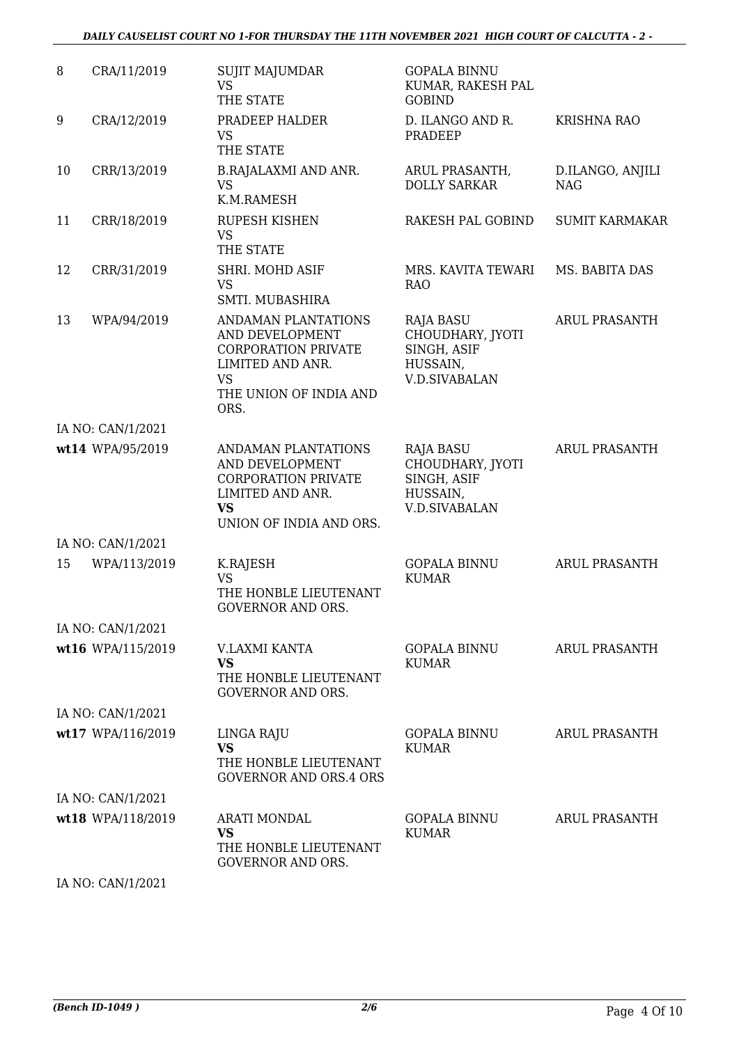#### *DAILY CAUSELIST COURT NO 1-FOR THURSDAY THE 11TH NOVEMBER 2021 HIGH COURT OF CALCUTTA - 2 -*

| 8  | CRA/11/2019       | <b>SUJIT MAJUMDAR</b><br><b>VS</b><br>THE STATE                                                                                         | <b>GOPALA BINNU</b><br>KUMAR, RAKESH PAL<br><b>GOBIND</b>                               |                                |
|----|-------------------|-----------------------------------------------------------------------------------------------------------------------------------------|-----------------------------------------------------------------------------------------|--------------------------------|
| 9  | CRA/12/2019       | PRADEEP HALDER<br><b>VS</b><br>THE STATE                                                                                                | D. ILANGO AND R.<br>PRADEEP                                                             | <b>KRISHNA RAO</b>             |
| 10 | CRR/13/2019       | <b>B.RAJALAXMI AND ANR.</b><br><b>VS</b><br>K.M.RAMESH                                                                                  | ARUL PRASANTH,<br><b>DOLLY SARKAR</b>                                                   | D.ILANGO, ANJILI<br><b>NAG</b> |
| 11 | CRR/18/2019       | <b>RUPESH KISHEN</b><br><b>VS</b><br>THE STATE                                                                                          | RAKESH PAL GOBIND                                                                       | <b>SUMIT KARMAKAR</b>          |
| 12 | CRR/31/2019       | SHRI. MOHD ASIF<br><b>VS</b><br>SMTI. MUBASHIRA                                                                                         | MRS. KAVITA TEWARI<br><b>RAO</b>                                                        | MS. BABITA DAS                 |
| 13 | WPA/94/2019       | ANDAMAN PLANTATIONS<br>AND DEVELOPMENT<br><b>CORPORATION PRIVATE</b><br>LIMITED AND ANR.<br><b>VS</b><br>THE UNION OF INDIA AND<br>ORS. | RAJA BASU<br>CHOUDHARY, JYOTI<br>SINGH, ASIF<br>HUSSAIN,<br><b>V.D.SIVABALAN</b>        | <b>ARUL PRASANTH</b>           |
|    | IA NO: CAN/1/2021 |                                                                                                                                         |                                                                                         |                                |
|    | wt14 WPA/95/2019  | ANDAMAN PLANTATIONS<br>AND DEVELOPMENT<br><b>CORPORATION PRIVATE</b><br>LIMITED AND ANR.<br><b>VS</b><br>UNION OF INDIA AND ORS.        | <b>RAJA BASU</b><br>CHOUDHARY, JYOTI<br>SINGH, ASIF<br>HUSSAIN,<br><b>V.D.SIVABALAN</b> | <b>ARUL PRASANTH</b>           |
|    | IA NO: CAN/1/2021 |                                                                                                                                         |                                                                                         |                                |
| 15 | WPA/113/2019      | K.RAJESH<br><b>VS</b><br>THE HONBLE LIEUTENANT<br><b>GOVERNOR AND ORS.</b>                                                              | <b>GOPALA BINNU</b><br><b>KUMAR</b>                                                     | <b>ARUL PRASANTH</b>           |
|    | IA NO: CAN/1/2021 |                                                                                                                                         |                                                                                         |                                |
|    | wt16 WPA/115/2019 | V.LAXMI KANTA<br><b>VS</b><br>THE HONBLE LIEUTENANT<br><b>GOVERNOR AND ORS.</b>                                                         | <b>GOPALA BINNU</b><br><b>KUMAR</b>                                                     | <b>ARUL PRASANTH</b>           |
|    | IA NO: CAN/1/2021 |                                                                                                                                         |                                                                                         |                                |
|    | wt17 WPA/116/2019 | LINGA RAJU<br><b>VS</b><br>THE HONBLE LIEUTENANT<br><b>GOVERNOR AND ORS.4 ORS</b>                                                       | GOPALA BINNU<br>KUMAR                                                                   | ARUL PRASANTH                  |
|    | IA NO: CAN/1/2021 |                                                                                                                                         |                                                                                         |                                |
|    | wt18 WPA/118/2019 | <b>ARATI MONDAL</b><br><b>VS</b><br>THE HONBLE LIEUTENANT<br><b>GOVERNOR AND ORS.</b>                                                   | <b>GOPALA BINNU</b><br><b>KUMAR</b>                                                     | ARUL PRASANTH                  |

IA NO: CAN/1/2021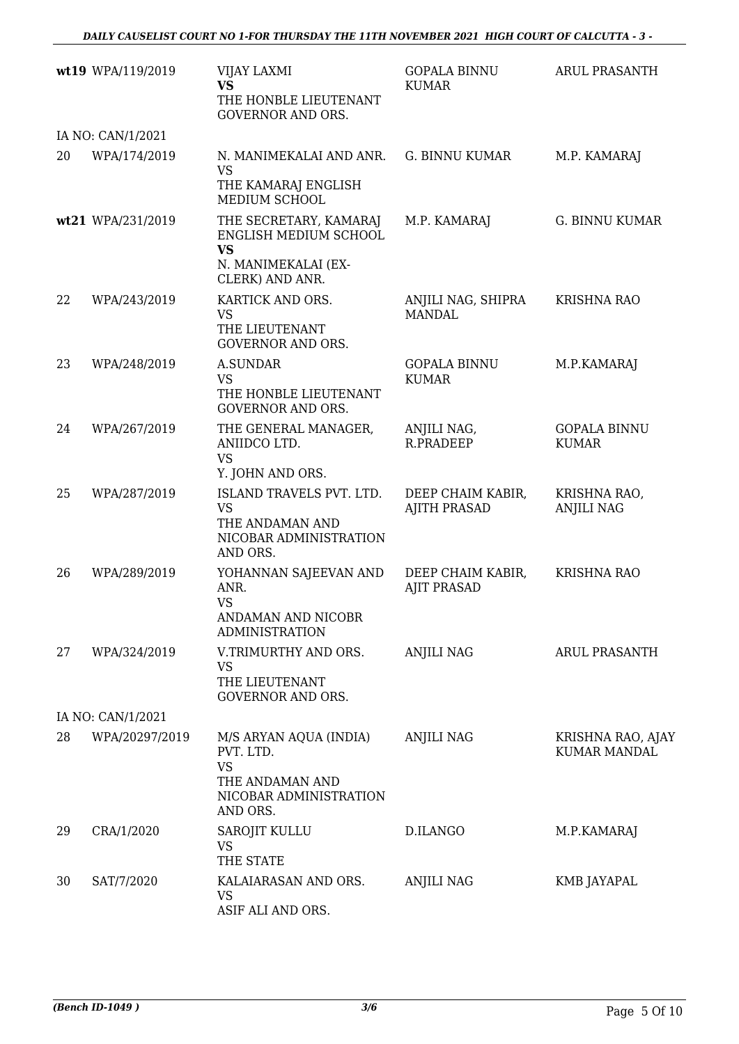|    | wt19 WPA/119/2019 | <b>VIJAY LAXMI</b><br><b>VS</b><br>THE HONBLE LIEUTENANT<br><b>GOVERNOR AND ORS.</b>                      | <b>GOPALA BINNU</b><br><b>KUMAR</b>      | <b>ARUL PRASANTH</b>                     |
|----|-------------------|-----------------------------------------------------------------------------------------------------------|------------------------------------------|------------------------------------------|
|    | IA NO: CAN/1/2021 |                                                                                                           |                                          |                                          |
| 20 | WPA/174/2019      | N. MANIMEKALAI AND ANR.<br><b>VS</b><br>THE KAMARAJ ENGLISH<br>MEDIUM SCHOOL                              | <b>G. BINNU KUMAR</b>                    | M.P. KAMARAJ                             |
|    | wt21 WPA/231/2019 | THE SECRETARY, KAMARAJ<br>ENGLISH MEDIUM SCHOOL<br><b>VS</b><br>N. MANIMEKALAI (EX-<br>CLERK) AND ANR.    | M.P. KAMARAJ                             | <b>G. BINNU KUMAR</b>                    |
| 22 | WPA/243/2019      | KARTICK AND ORS.<br><b>VS</b><br>THE LIEUTENANT<br><b>GOVERNOR AND ORS.</b>                               | ANJILI NAG, SHIPRA<br><b>MANDAL</b>      | <b>KRISHNA RAO</b>                       |
| 23 | WPA/248/2019      | A.SUNDAR<br><b>VS</b><br>THE HONBLE LIEUTENANT<br>GOVERNOR AND ORS.                                       | <b>GOPALA BINNU</b><br><b>KUMAR</b>      | M.P.KAMARAJ                              |
| 24 | WPA/267/2019      | THE GENERAL MANAGER,<br>ANIIDCO LTD.<br><b>VS</b><br>Y. JOHN AND ORS.                                     | ANJILI NAG,<br>R.PRADEEP                 | <b>GOPALA BINNU</b><br><b>KUMAR</b>      |
| 25 | WPA/287/2019      | ISLAND TRAVELS PVT. LTD.<br><b>VS</b><br>THE ANDAMAN AND<br>NICOBAR ADMINISTRATION<br>AND ORS.            | DEEP CHAIM KABIR,<br><b>AJITH PRASAD</b> | KRISHNA RAO,<br><b>ANJILI NAG</b>        |
| 26 | WPA/289/2019      | YOHANNAN SAJEEVAN AND<br>ANR.<br><b>VS</b><br>ANDAMAN AND NICOBR<br><b>ADMINISTRATION</b>                 | DEEP CHAIM KABIR,<br><b>AJIT PRASAD</b>  | <b>KRISHNA RAO</b>                       |
| 27 | WPA/324/2019      | V.TRIMURTHY AND ORS.<br><b>VS</b><br>THE LIEUTENANT<br><b>GOVERNOR AND ORS.</b>                           | <b>ANJILI NAG</b>                        | <b>ARUL PRASANTH</b>                     |
|    | IA NO: CAN/1/2021 |                                                                                                           |                                          |                                          |
| 28 | WPA/20297/2019    | M/S ARYAN AQUA (INDIA)<br>PVT. LTD.<br><b>VS</b><br>THE ANDAMAN AND<br>NICOBAR ADMINISTRATION<br>AND ORS. | <b>ANJILI NAG</b>                        | KRISHNA RAO, AJAY<br><b>KUMAR MANDAL</b> |
| 29 | CRA/1/2020        | SAROJIT KULLU<br><b>VS</b><br>THE STATE                                                                   | D.ILANGO                                 | M.P.KAMARAJ                              |
| 30 | SAT/7/2020        | KALAIARASAN AND ORS.<br><b>VS</b><br>ASIF ALI AND ORS.                                                    | <b>ANJILI NAG</b>                        | KMB JAYAPAL                              |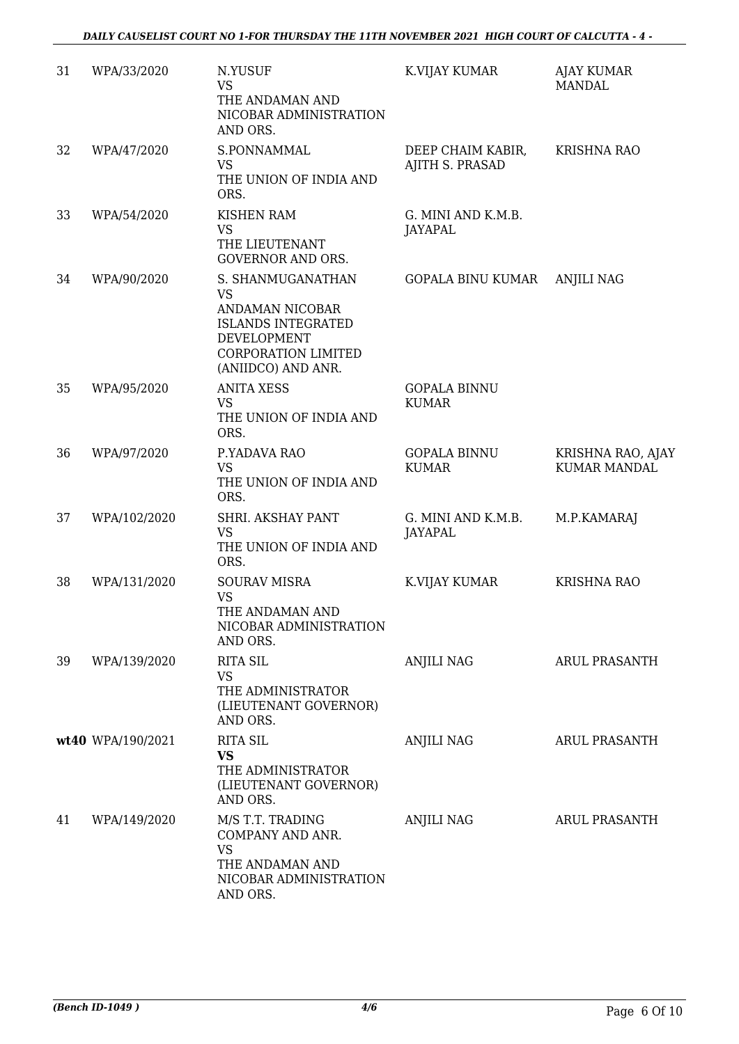| 31 | WPA/33/2020       | N.YUSUF<br><b>VS</b><br>THE ANDAMAN AND<br>NICOBAR ADMINISTRATION<br>AND ORS.                                                                     | K.VIJAY KUMAR                        | <b>AJAY KUMAR</b><br><b>MANDAL</b>       |
|----|-------------------|---------------------------------------------------------------------------------------------------------------------------------------------------|--------------------------------------|------------------------------------------|
| 32 | WPA/47/2020       | S.PONNAMMAL<br><b>VS</b><br>THE UNION OF INDIA AND<br>ORS.                                                                                        | DEEP CHAIM KABIR,<br>AJITH S. PRASAD | <b>KRISHNA RAO</b>                       |
| 33 | WPA/54/2020       | <b>KISHEN RAM</b><br><b>VS</b><br>THE LIEUTENANT<br><b>GOVERNOR AND ORS.</b>                                                                      | G. MINI AND K.M.B.<br>JAYAPAL        |                                          |
| 34 | WPA/90/2020       | S. SHANMUGANATHAN<br><b>VS</b><br>ANDAMAN NICOBAR<br><b>ISLANDS INTEGRATED</b><br>DEVELOPMENT<br><b>CORPORATION LIMITED</b><br>(ANIIDCO) AND ANR. | <b>GOPALA BINU KUMAR</b>             | <b>ANJILI NAG</b>                        |
| 35 | WPA/95/2020       | <b>ANITA XESS</b><br><b>VS</b><br>THE UNION OF INDIA AND<br>ORS.                                                                                  | <b>GOPALA BINNU</b><br><b>KUMAR</b>  |                                          |
| 36 | WPA/97/2020       | P.YADAVA RAO<br>VS<br>THE UNION OF INDIA AND<br>ORS.                                                                                              | <b>GOPALA BINNU</b><br><b>KUMAR</b>  | KRISHNA RAO, AJAY<br><b>KUMAR MANDAL</b> |
| 37 | WPA/102/2020      | SHRI. AKSHAY PANT<br><b>VS</b><br>THE UNION OF INDIA AND<br>ORS.                                                                                  | G. MINI AND K.M.B.<br>JAYAPAL        | M.P.KAMARAJ                              |
| 38 | WPA/131/2020      | <b>SOURAV MISRA</b><br><b>VS</b><br>THE ANDAMAN AND<br>NICOBAR ADMINISTRATION<br>AND ORS.                                                         | K.VIJAY KUMAR                        | <b>KRISHNA RAO</b>                       |
| 39 | WPA/139/2020      | <b>RITA SIL</b><br><b>VS</b><br>THE ADMINISTRATOR<br>(LIEUTENANT GOVERNOR)<br>AND ORS.                                                            | <b>ANJILI NAG</b>                    | <b>ARUL PRASANTH</b>                     |
|    | wt40 WPA/190/2021 | <b>RITA SIL</b><br><b>VS</b><br>THE ADMINISTRATOR<br>(LIEUTENANT GOVERNOR)<br>AND ORS.                                                            | <b>ANJILI NAG</b>                    | <b>ARUL PRASANTH</b>                     |
| 41 | WPA/149/2020      | M/S T.T. TRADING<br>COMPANY AND ANR.<br><b>VS</b><br>THE ANDAMAN AND<br>NICOBAR ADMINISTRATION<br>AND ORS.                                        | <b>ANJILI NAG</b>                    | <b>ARUL PRASANTH</b>                     |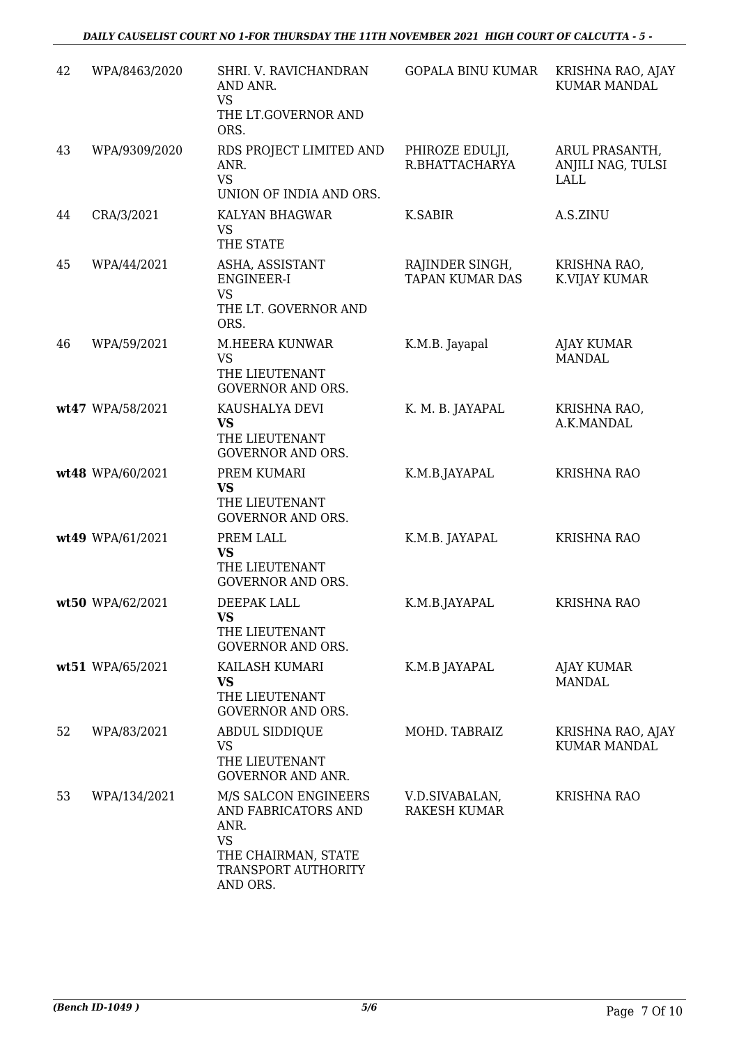| 42 | WPA/8463/2020    | SHRI. V. RAVICHANDRAN<br>AND ANR.<br><b>VS</b><br>THE LT.GOVERNOR AND<br>ORS.                                              | <b>GOPALA BINU KUMAR</b>                  | KRISHNA RAO, AJAY<br><b>KUMAR MANDAL</b>           |
|----|------------------|----------------------------------------------------------------------------------------------------------------------------|-------------------------------------------|----------------------------------------------------|
| 43 | WPA/9309/2020    | RDS PROJECT LIMITED AND<br>ANR.<br><b>VS</b><br>UNION OF INDIA AND ORS.                                                    | PHIROZE EDULJI,<br>R.BHATTACHARYA         | ARUL PRASANTH,<br>ANJILI NAG, TULSI<br><b>LALL</b> |
| 44 | CRA/3/2021       | KALYAN BHAGWAR<br><b>VS</b><br>THE STATE                                                                                   | K.SABIR                                   | A.S.ZINU                                           |
| 45 | WPA/44/2021      | ASHA, ASSISTANT<br>ENGINEER-I<br><b>VS</b><br>THE LT. GOVERNOR AND<br>ORS.                                                 | RAJINDER SINGH,<br><b>TAPAN KUMAR DAS</b> | KRISHNA RAO,<br>K.VIJAY KUMAR                      |
| 46 | WPA/59/2021      | M.HEERA KUNWAR<br><b>VS</b><br>THE LIEUTENANT<br><b>GOVERNOR AND ORS.</b>                                                  | K.M.B. Jayapal                            | AJAY KUMAR<br><b>MANDAL</b>                        |
|    | wt47 WPA/58/2021 | KAUSHALYA DEVI<br><b>VS</b><br>THE LIEUTENANT<br><b>GOVERNOR AND ORS.</b>                                                  | K. M. B. JAYAPAL                          | KRISHNA RAO,<br>A.K.MANDAL                         |
|    | wt48 WPA/60/2021 | PREM KUMARI<br><b>VS</b><br>THE LIEUTENANT<br><b>GOVERNOR AND ORS.</b>                                                     | K.M.B.JAYAPAL                             | <b>KRISHNA RAO</b>                                 |
|    | wt49 WPA/61/2021 | PREM LALL<br><b>VS</b><br>THE LIEUTENANT<br><b>GOVERNOR AND ORS.</b>                                                       | K.M.B. JAYAPAL                            | <b>KRISHNA RAO</b>                                 |
|    | wt50 WPA/62/2021 | DEEPAK LALL<br><b>VS</b><br>THE LIEUTENANT<br><b>GOVERNOR AND ORS.</b>                                                     | K.M.B.JAYAPAL                             | <b>KRISHNA RAO</b>                                 |
|    | wt51 WPA/65/2021 | KAILASH KUMARI<br><b>VS</b><br>THE LIEUTENANT<br><b>GOVERNOR AND ORS.</b>                                                  | K.M.B JAYAPAL                             | AJAY KUMAR<br><b>MANDAL</b>                        |
| 52 | WPA/83/2021      | <b>ABDUL SIDDIQUE</b><br><b>VS</b><br>THE LIEUTENANT<br><b>GOVERNOR AND ANR.</b>                                           | MOHD. TABRAIZ                             | KRISHNA RAO, AJAY<br>KUMAR MANDAL                  |
| 53 | WPA/134/2021     | M/S SALCON ENGINEERS<br>AND FABRICATORS AND<br>ANR.<br><b>VS</b><br>THE CHAIRMAN, STATE<br>TRANSPORT AUTHORITY<br>AND ORS. | V.D.SIVABALAN,<br><b>RAKESH KUMAR</b>     | <b>KRISHNA RAO</b>                                 |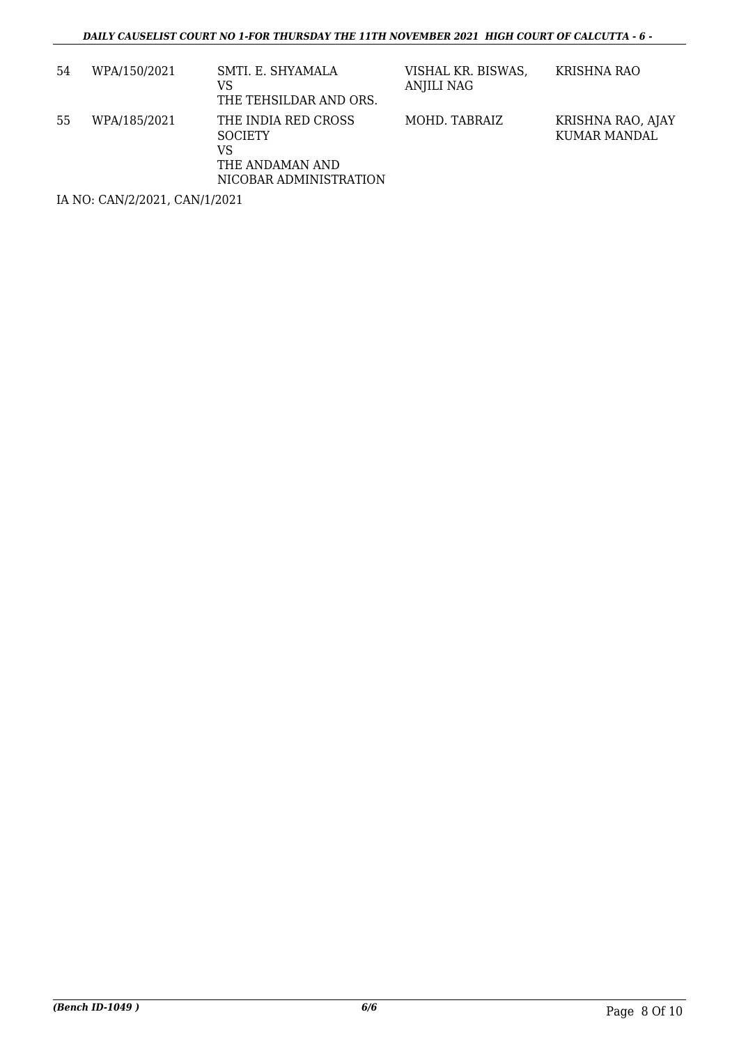| 54 | WPA/150/2021 | SMTI. E. SHYAMALA<br>VS<br>THE TEHSILDAR AND ORS.                                        | VISHAL KR. BISWAS,<br>ANJILI NAG | KRISHNA RAO                       |
|----|--------------|------------------------------------------------------------------------------------------|----------------------------------|-----------------------------------|
| 55 | WPA/185/2021 | THE INDIA RED CROSS<br><b>SOCIETY</b><br>VS<br>THE ANDAMAN AND<br>NICOBAR ADMINISTRATION | MOHD. TABRAIZ                    | KRISHNA RAO, AJAY<br>KUMAR MANDAL |

IA NO: CAN/2/2021, CAN/1/2021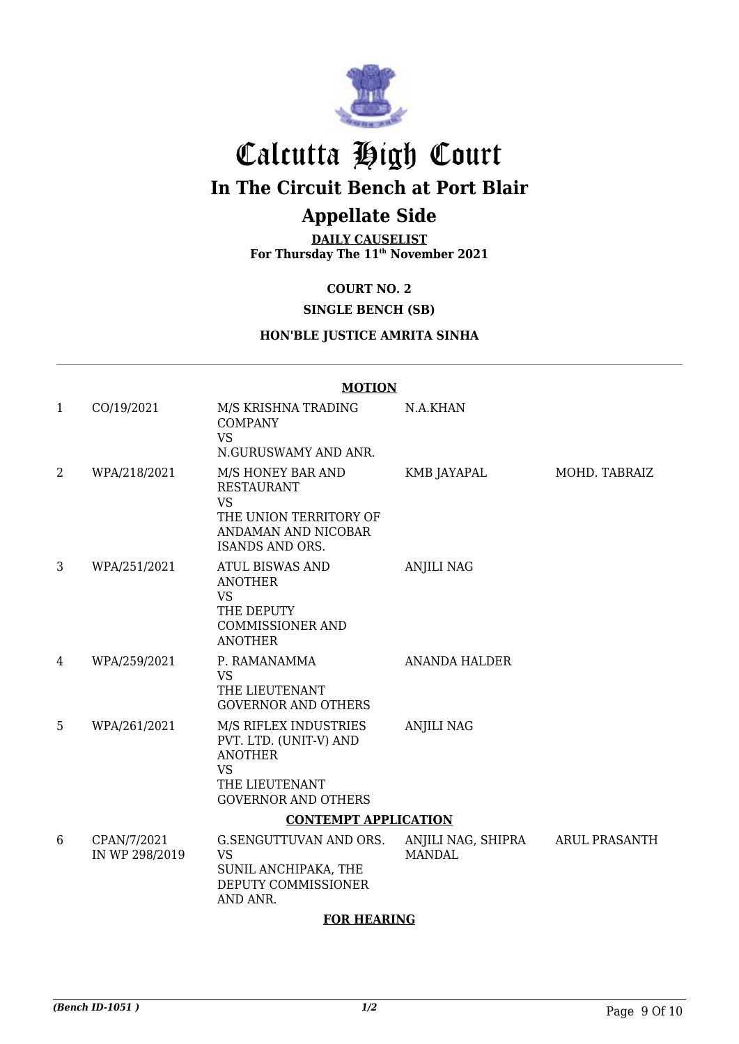

# Calcutta High Court

## **In The Circuit Bench at Port Blair**

#### **Appellate Side**

**DAILY CAUSELIST For Thursday The 11th November 2021**

**COURT NO. 2**

#### **SINGLE BENCH (SB)**

#### **HON'BLE JUSTICE AMRITA SINHA**

#### **MOTION**

| $\mathbf{1}$ | CO/19/2021                    | M/S KRISHNA TRADING<br><b>COMPANY</b><br><b>VS</b><br>N.GURUSWAMY AND ANR.                                              | N.A.KHAN                            |               |  |
|--------------|-------------------------------|-------------------------------------------------------------------------------------------------------------------------|-------------------------------------|---------------|--|
| 2            | WPA/218/2021                  | M/S HONEY BAR AND<br><b>RESTAURANT</b><br><b>VS</b><br>THE UNION TERRITORY OF<br>ANDAMAN AND NICOBAR<br>ISANDS AND ORS. | KMB JAYAPAL                         | MOHD. TABRAIZ |  |
| 3            | WPA/251/2021                  | <b>ATUL BISWAS AND</b><br><b>ANOTHER</b><br><b>VS</b><br>THE DEPUTY<br><b>COMMISSIONER AND</b><br><b>ANOTHER</b>        | <b>ANJILI NAG</b>                   |               |  |
| 4            | WPA/259/2021                  | P. RAMANAMMA<br><b>VS</b><br>THE LIEUTENANT<br><b>GOVERNOR AND OTHERS</b>                                               | <b>ANANDA HALDER</b>                |               |  |
| 5            | WPA/261/2021                  | M/S RIFLEX INDUSTRIES<br>PVT. LTD. (UNIT-V) AND<br><b>ANOTHER</b><br>VS<br>THE LIEUTENANT<br><b>GOVERNOR AND OTHERS</b> | <b>ANJILI NAG</b>                   |               |  |
|              | <b>CONTEMPT APPLICATION</b>   |                                                                                                                         |                                     |               |  |
| 6            | CPAN/7/2021<br>IN WP 298/2019 | G.SENGUTTUVAN AND ORS.<br><b>VS</b><br>SUNIL ANCHIPAKA, THE<br>DEPUTY COMMISSIONER<br>AND ANR.                          | ANJILI NAG, SHIPRA<br><b>MANDAL</b> | ARUL PRASANTH |  |

#### **FOR HEARING**